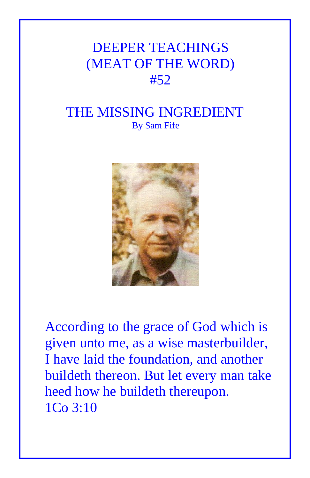## DEEPER TEACHINGS (MEAT OF THE WORD) #52

## THE MISSING INGREDIENT By Sam Fife



According to the grace of God which is given unto me, as a wise masterbuilder, I have laid the foundation, and another buildeth thereon. But let every man take heed how he buildeth thereupon. 1Co 3:10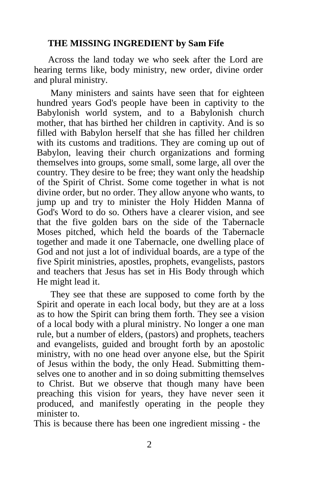## **THE MISSING INGREDIENT by Sam Fife**

Across the land today we who seek after the Lord are hearing terms like, body ministry, new order, divine order and plural ministry.

Many ministers and saints have seen that for eighteen hundred years God's people have been in captivity to the Babylonish world system, and to a Babylonish church mother, that has birthed her children in captivity. And is so filled with Babylon herself that she has filled her children with its customs and traditions. They are coming up out of Babylon, leaving their church organizations and forming themselves into groups, some small, some large, all over the country. They desire to be free; they want only the headship of the Spirit of Christ. Some come together in what is not divine order, but no order. They allow anyone who wants, to jump up and try to minister the Holy Hidden Manna of God's Word to do so. Others have a clearer vision, and see that the five golden bars on the side of the Tabernacle Moses pitched, which held the boards of the Tabernacle together and made it one Tabernacle, one dwelling place of God and not just a lot of individual boards, are a type of the five Spirit ministries, apostles, prophets, evangelists, pastors and teachers that Jesus has set in His Body through which He might lead it.

They see that these are supposed to come forth by the Spirit and operate in each local body, but they are at a loss as to how the Spirit can bring them forth. They see a vision of a local body with a plural ministry. No longer a one man rule, but a number of elders, (pastors) and prophets, teachers and evangelists, guided and brought forth by an apostolic ministry, with no one head over anyone else, but the Spirit of Jesus within the body, the only Head. Submitting themselves one to another and in so doing submitting themselves to Christ. But we observe that though many have been preaching this vision for years, they have never seen it produced, and manifestly operating in the people they minister to.

This is because there has been one ingredient missing - the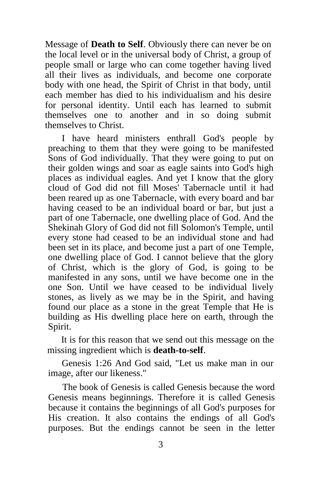Message of **Death to Self**. Obviously there can never be on the local level or in the universal body of Christ, a group of people small or large who can come together having lived all their lives as individuals, and become one corporate body with one head, the Spirit of Christ in that body, until each member has died to his individualism and his desire for personal identity. Until each has learned to submit themselves one to another and in so doing submit themselves to Christ.

I have heard ministers enthrall God's people by preaching to them that they were going to be manifested Sons of God individually. That they were going to put on their golden wings and soar as eagle saints into God's high places as individual eagles. And yet I know that the glory cloud of God did not fill Moses' Tabernacle until it had been reared up as one Tabernacle, with every board and bar having ceased to be an individual board or bar, but just a part of one Tabernacle, one dwelling place of God. And the Shekinah Glory of God did not fill Solomon's Temple, until every stone had ceased to be an individual stone and had been set in its place, and become just a part of one Temple, one dwelling place of God. I cannot believe that the glory of Christ, which is the glory of God, is going to be manifested in any sons, until we have become one in the one Son. Until we have ceased to be individual lively stones, as lively as we may be in the Spirit, and having found our place as a stone in the great Temple that He is building as His dwelling place here on earth, through the Spirit.

It is for this reason that we send out this message on the missing ingredient which is **death-to-self**.

Genesis 1:26 And God said, "Let us make man in our image, after our likeness."

The book of Genesis is called Genesis because the word Genesis means beginnings. Therefore it is called Genesis because it contains the beginnings of all God's purposes for His creation. It also contains the endings of all God's purposes. But the endings cannot be seen in the letter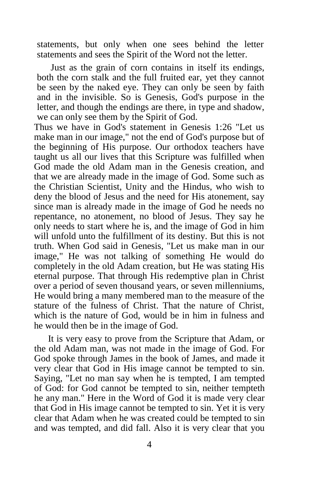statements, but only when one sees behind the letter statements and sees the Spirit of the Word not the letter.

Just as the grain of corn contains in itself its endings, both the corn stalk and the full fruited ear, yet they cannot be seen by the naked eye. They can only be seen by faith and in the invisible. So is Genesis, God's purpose in the letter, and though the endings are there, in type and shadow, we can only see them by the Spirit of God.

Thus we have in God's statement in Genesis 1:26 "Let us make man in our image," not the end of God's purpose but of the beginning of His purpose. Our orthodox teachers have taught us all our lives that this Scripture was fulfilled when God made the old Adam man in the Genesis creation, and that we are already made in the image of God. Some such as the Christian Scientist, Unity and the Hindus, who wish to deny the blood of Jesus and the need for His atonement, say since man is already made in the image of God he needs no repentance, no atonement, no blood of Jesus. They say he only needs to start where he is, and the image of God in him will unfold unto the fulfillment of its destiny. But this is not truth. When God said in Genesis, "Let us make man in our image," He was not talking of something He would do completely in the old Adam creation, but He was stating His eternal purpose. That through His redemptive plan in Christ over a period of seven thousand years, or seven millenniums, He would bring a many membered man to the measure of the stature of the fulness of Christ. That the nature of Christ, which is the nature of God, would be in him in fulness and he would then be in the image of God.

It is very easy to prove from the Scripture that Adam, or the old Adam man, was not made in the image of God. For God spoke through James in the book of James, and made it very clear that God in His image cannot be tempted to sin. Saying, "Let no man say when he is tempted, I am tempted of God: for God cannot be tempted to sin, neither tempteth he any man." Here in the Word of God it is made very clear that God in His image cannot be tempted to sin. Yet it is very clear that Adam when he was created could be tempted to sin and was tempted, and did fall. Also it is very clear that you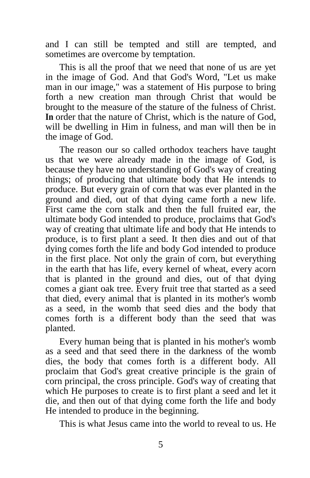and I can still be tempted and still are tempted, and sometimes are overcome by temptation.

This is all the proof that we need that none of us are yet in the image of God. And that God's Word, "Let us make man in our image," was a statement of His purpose to bring forth a new creation man through Christ that would be brought to the measure of the stature of the fulness of Christ. **In** order that the nature of Christ, which is the nature of God, will be dwelling in Him in fulness, and man will then be in the image of God.

The reason our so called orthodox teachers have taught us that we were already made in the image of God, is because they have no understanding of God's way of creating things; of producing that ultimate body that He intends to produce. But every grain of corn that was ever planted in the ground and died, out of that dying came forth a new life. First came the corn stalk and then the full fruited ear, the ultimate body God intended to produce, proclaims that God's way of creating that ultimate life and body that He intends to produce, is to first plant a seed. It then dies and out of that dying comes forth the life and body God intended to produce in the first place. Not only the grain of corn, but everything in the earth that has life, every kernel of wheat, every acorn that is planted in the ground and dies, out of that dying comes a giant oak tree. Every fruit tree that started as a seed that died, every animal that is planted in its mother's womb as a seed, in the womb that seed dies and the body that comes forth is a different body than the seed that was planted.

Every human being that is planted in his mother's womb as a seed and that seed there in the darkness of the womb dies, the body that comes forth is a different body. All proclaim that God's great creative principle is the grain of corn principal, the cross principle. God's way of creating that which He purposes to create is to first plant a seed and let it die, and then out of that dying come forth the life and body He intended to produce in the beginning.

This is what Jesus came into the world to reveal to us. He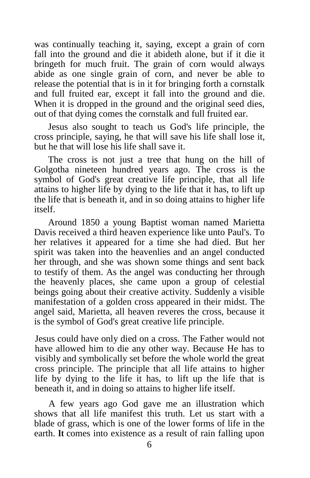was continually teaching it, saying, except a grain of corn fall into the ground and die it abideth alone, but if it die it bringeth for much fruit. The grain of corn would always abide as one single grain of corn, and never be able to release the potential that is in it for bringing forth a cornstalk and full fruited ear, except it fall into the ground and die. When it is dropped in the ground and the original seed dies, out of that dying comes the cornstalk and full fruited ear.

Jesus also sought to teach us God's life principle, the cross principle, saying, he that will save his life shall lose it, but he that will lose his life shall save it.

The cross is not just a tree that hung on the hill of Golgotha nineteen hundred years ago. The cross is the symbol of God's great creative life principle, that all life attains to higher life by dying to the life that it has, to lift up the life that is beneath it, and in so doing attains to higher life itself.

Around 1850 a young Baptist woman named Marietta Davis received a third heaven experience like unto Paul's. To her relatives it appeared for a time she had died. But her spirit was taken into the heavenlies and an angel conducted her through, and she was shown some things and sent back to testify of them. As the angel was conducting her through the heavenly places, she came upon a group of celestial beings going about their creative activity. Suddenly a visible manifestation of a golden cross appeared in their midst. The angel said, Marietta, all heaven reveres the cross, because it is the symbol of God's great creative life principle.

Jesus could have only died on a cross. The Father would not have allowed him to die any other way. Because He has to visibly and symbolically set before the whole world the great cross principle. The principle that all life attains to higher life by dying to the life it has, to lift up the life that is beneath it, and in doing so attains to higher life itself.

A few years ago God gave me an illustration which shows that all life manifest this truth. Let us start with a blade of grass, which is one of the lower forms of life in the earth. **It** comes into existence as a result of rain falling upon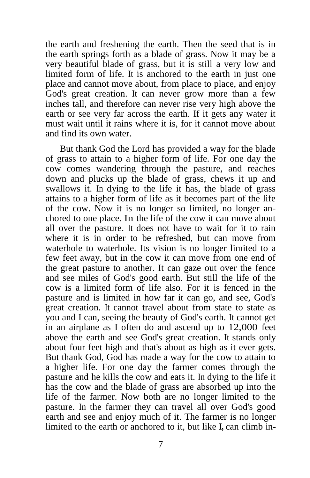the earth and freshening the earth. Then the seed that is in the earth springs forth as a blade of grass. Now it may be a very beautiful blade of grass, but it is still a very low and limited form of life. It is anchored to the earth in just one place and cannot move about, from place to place, and enjoy God's great creation. It can never grow more than a few inches tall, and therefore can never rise very high above the earth or see very far across the earth. If it gets any water it must wait until it rains where it is, for it cannot move about and find its own water.

But thank God the Lord has provided a way for the blade of grass to attain to a higher form of life. For one day the cow comes wandering through the pasture, and reaches down and plucks up the blade of grass, chews it up and swallows it. In dying to the life it has, the blade of grass attains to a higher form of life as it becomes part of the life of the cow. Now it is no longer so limited, no longer anchored to one place. In the life of the cow it can move about all over the pasture. It does not have to wait for it to rain where it is in order to be refreshed, but can move from waterhole to waterhole. Its vision is no longer limited to a few feet away, but in the cow it can move from one end of the great pasture to another. It can gaze out over the fence and see miles of God's good earth. But still the life of the cow is a limited form of life also. For it is fenced in the pasture and is limited in how far it can go, and see, God's great creation. It cannot travel about from state to state as you and I can, seeing the beauty of God's earth. It cannot get in an airplane as I often do and ascend up to 12,000 feet above the earth and see God's great creation. It stands only about four feet high and that's about as high as it ever gets. But thank God, God has made a way for the cow to attain to a higher life. For one day the farmer comes through the pasture and he kills the cow and eats it. In dying to the life it has the cow and the blade of grass are absorbed up into the life of the farmer. Now both are no longer limited to the pasture. In the farmer they can travel all over God's good earth and see and enjoy much of it. The farmer is no longer limited to the earth or anchored to it, but like **I,** can climb in-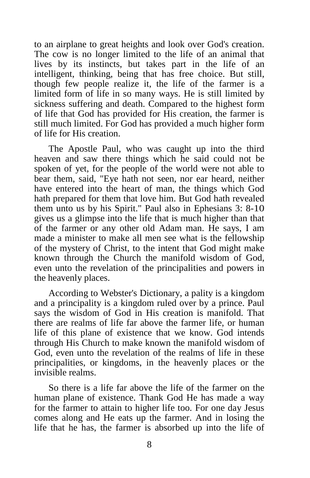to an airplane to great heights and look over God's creation. The cow is no longer limited to the life of an animal that lives by its instincts, but takes part in the life of an intelligent, thinking, being that has free choice. But still, though few people realize it, the life of the farmer is a limited form of life in so many ways. He is still limited by sickness suffering and death. Compared to the highest form of life that God has provided for His creation, the farmer is still much limited. For God has provided a much higher form of life for His creation.

The Apostle Paul, who was caught up into the third heaven and saw there things which he said could not be spoken of yet, for the people of the world were not able to bear them, said, "Eye hath not seen, nor ear heard, neither have entered into the heart of man, the things which God hath prepared for them that love him. But God hath revealed them unto us by his Spirit." Paul also in Ephesians 3: 8-10 gives us a glimpse into the life that is much higher than that of the farmer or any other old Adam man. He says, I am made a minister to make all men see what is the fellowship of the mystery of Christ, to the intent that God might make known through the Church the manifold wisdom of God, even unto the revelation of the principalities and powers in the heavenly places.

According to Webster's Dictionary, a pality is a kingdom and a principality is a kingdom ruled over by a prince. Paul says the wisdom of God in His creation is manifold. That there are realms of life far above the farmer life, or human life of this plane of existence that we know. God intends through His Church to make known the manifold wisdom of God, even unto the revelation of the realms of life in these principalities, or kingdoms, in the heavenly places or the invisible realms.

So there is a life far above the life of the farmer on the human plane of existence. Thank God He has made a way for the farmer to attain to higher life too. For one day Jesus comes along and He eats up the farmer. And in losing the life that he has, the farmer is absorbed up into the life of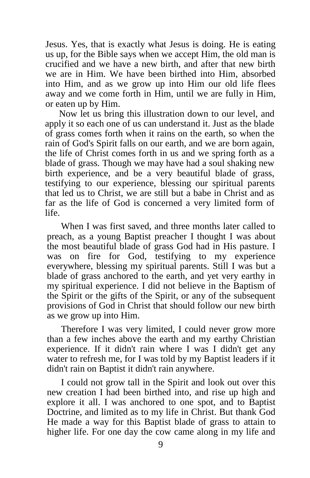Jesus. Yes, that is exactly what Jesus is doing. He is eating us up, for the Bible says when we accept Him, the old man is crucified and we have a new birth, and after that new birth we are in Him. We have been birthed into Him, absorbed into Him, and as we grow up into Him our old life flees away and we come forth in Him, until we are fully in Him, or eaten up by Him.

Now let us bring this illustration down to our level, and apply it so each one of us can understand it. Just as the blade of grass comes forth when it rains on the earth, so when the rain of God's Spirit falls on our earth, and we are born again, the life of Christ comes forth in us and we spring forth as a blade of grass. Though we may have had a soul shaking new birth experience, and be a very beautiful blade of grass, testifying to our experience, blessing our spiritual parents that led us to Christ, we are still but a babe in Christ and as far as the life of God is concerned a very limited form of life.

When I was first saved, and three months later called to preach, as a young Baptist preacher I thought I was about the most beautiful blade of grass God had in His pasture. I was on fire for God, testifying to my experience everywhere, blessing my spiritual parents. Still I was but a blade of grass anchored to the earth, and yet very earthy in my spiritual experience. I did not believe in the Baptism of the Spirit or the gifts of the Spirit, or any of the subsequent provisions of God in Christ that should follow our new birth as we grow up into Him.

Therefore I was very limited, I could never grow more than a few inches above the earth and my earthy Christian experience. If it didn't rain where I was I didn't get any water to refresh me, for I was told by my Baptist leaders if it didn't rain on Baptist it didn't rain anywhere.

I could not grow tall in the Spirit and look out over this new creation I had been birthed into, and rise up high and explore it all. I was anchored to one spot, and to Baptist Doctrine, and limited as to my life in Christ. But thank God He made a way for this Baptist blade of grass to attain to higher life. For one day the cow came along in my life and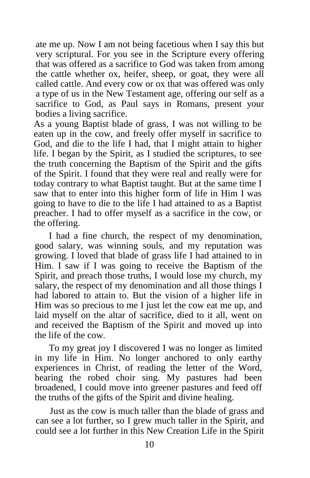ate me up. Now I am not being facetious when I say this but very scriptural. For you see in the Scripture every offering that was offered as a sacrifice to God was taken from among the cattle whether ox, heifer, sheep, or goat, they were all called cattle. And every cow or ox that was offered was only a type of us in the New Testament age, offering our self as a sacrifice to God, as Paul says in Romans, present your bodies a living sacrifice.

As a young Baptist blade of grass, I was not willing to be eaten up in the cow, and freely offer myself in sacrifice to God, and die to the life I had, that I might attain to higher life. I began by the Spirit, as I studied the scriptures, to see the truth concerning the Baptism of the Spirit and the gifts of the Spirit. I found that they were real and really were for today contrary to what Baptist taught. But at the same time I saw that to enter into this higher form of life in Him I was going to have to die to the life I had attained to as a Baptist preacher. I had to offer myself as a sacrifice in the cow, or the offering.

I had a fine church, the respect of my denomination, good salary, was winning souls, and my reputation was growing. I loved that blade of grass life I had attained to in Him. I saw if I was going to receive the Baptism of the Spirit, and preach those truths, I would lose my church, my salary, the respect of my denomination and all those things I had labored to attain to. But the vision of a higher life in Him was so precious to me I just let the cow eat me up, and laid myself on the altar of sacrifice, died to it all, went on and received the Baptism of the Spirit and moved up into the life of the cow.

To my great joy I discovered I was no longer as limited in my life in Him. No longer anchored to only earthy experiences in Christ, of reading the letter of the Word, hearing the robed choir sing. My pastures had been broadened, I could move into greener pastures and feed off the truths of the gifts of the Spirit and divine healing.

Just as the cow is much taller than the blade of grass and can see a lot further, so I grew much taller in the Spirit, and could see a lot further in this New Creation Life in the Spirit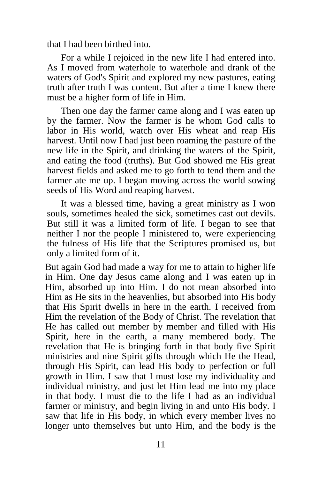that I had been birthed into.

For a while I rejoiced in the new life I had entered into. As I moved from waterhole to waterhole and drank of the waters of God's Spirit and explored my new pastures, eating truth after truth I was content. But after a time I knew there must be a higher form of life in Him.

Then one day the farmer came along and I was eaten up by the farmer. Now the farmer is he whom God calls to labor in His world, watch over His wheat and reap His harvest. Until now I had just been roaming the pasture of the new life in the Spirit, and drinking the waters of the Spirit, and eating the food (truths). But God showed me His great harvest fields and asked me to go forth to tend them and the farmer ate me up. I began moving across the world sowing seeds of His Word and reaping harvest.

It was a blessed time, having a great ministry as I won souls, sometimes healed the sick, sometimes cast out devils. But still it was a limited form of life. I began to see that neither I nor the people I ministered to, were experiencing the fulness of His life that the Scriptures promised us, but only a limited form of it.

But again God had made a way for me to attain to higher life in Him. One day Jesus came along and I was eaten up in Him, absorbed up into Him. I do not mean absorbed into Him as He sits in the heavenlies, but absorbed into His body that His Spirit dwells in here in the earth. I received from Him the revelation of the Body of Christ. The revelation that He has called out member by member and filled with His Spirit, here in the earth, a many membered body. The revelation that He is bringing forth in that body five Spirit ministries and nine Spirit gifts through which He the Head, through His Spirit, can lead His body to perfection or full growth in Him. I saw that I must lose my individuality and individual ministry, and just let Him lead me into my place in that body. I must die to the life I had as an individual farmer or ministry, and begin living in and unto His body. I saw that life in His body, in which every member lives no longer unto themselves but unto Him, and the body is the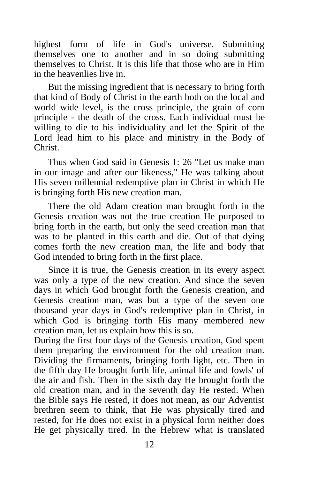highest form of life in God's universe. Submitting themselves one to another and in so doing submitting themselves to Christ. It is this life that those who are in Him in the heavenlies live in.

But the missing ingredient that is necessary to bring forth that kind of Body of Christ in the earth both on the local and world wide level, is the cross principle, the grain of corn principle - the death of the cross. Each individual must be willing to die to his individuality and let the Spirit of the Lord lead him to his place and ministry in the Body of Christ.

Thus when God said in Genesis 1: 26 "Let us make man in our image and after our likeness," He was talking about His seven millennial redemptive plan in Christ in which He is bringing forth His new creation man.

There the old Adam creation man brought forth in the Genesis creation was not the true creation He purposed to bring forth in the earth, but only the seed creation man that was to be planted in this earth and die. Out of that dying comes forth the new creation man, the life and body that God intended to bring forth in the first place.

Since it is true, the Genesis creation in its every aspect was only a type of the new creation. And since the seven days in which God brought forth the Genesis creation, and Genesis creation man, was but a type of the seven one thousand year days in God's redemptive plan in Christ, in which God is bringing forth His many membered new creation man, let us explain how this is so.

During the first four days of the Genesis creation, God spent them preparing the environment for the old creation man. Dividing the firmaments, bringing forth light, etc. Then in the fifth day He brought forth life, animal life and fowls' of the air and fish. Then in the sixth day He brought forth the old creation man, and in the seventh day He rested. When the Bible says He rested, it does not mean, as our Adventist brethren seem to think, that He was physically tired and rested, for He does not exist in a physical form neither does He get physically tired. In the Hebrew what is translated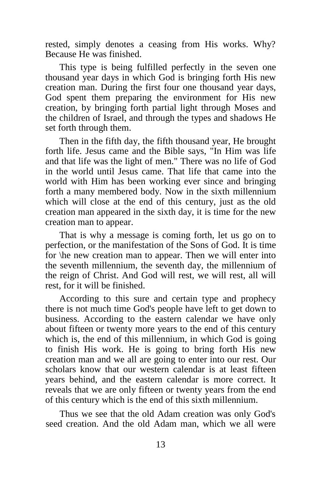rested, simply denotes a ceasing from His works. Why? Because He was finished.

This type is being fulfilled perfectly in the seven one thousand year days in which God is bringing forth His new creation man. During the first four one thousand year days, God spent them preparing the environment for His new creation, by bringing forth partial light through Moses and the children of Israel, and through the types and shadows He set forth through them.

Then in the fifth day, the fifth thousand year, He brought forth life. Jesus came and the Bible says, "In Him was life and that life was the light of men." There was no life of God in the world until Jesus came. That life that came into the world with Him has been working ever since and bringing forth a many membered body. Now in the sixth millennium which will close at the end of this century, just as the old creation man appeared in the sixth day, it is time for the new creation man to appear.

That is why a message is coming forth, let us go on to perfection, or the manifestation of the Sons of God. It is time for \he new creation man to appear. Then we will enter into the seventh millennium, the seventh day, the millennium of the reign of Christ. And God will rest, we will rest, all will rest, for it will be finished.

According to this sure and certain type and prophecy there is not much time God's people have left to get down to business. According to the eastern calendar we have only about fifteen or twenty more years to the end of this century which is, the end of this millennium, in which God is going to finish His work. He is going to bring forth His new creation man and we all are going to enter into our rest. Our scholars know that our western calendar is at least fifteen years behind, and the eastern calendar is more correct. It reveals that we are only fifteen or twenty years from the end of this century which is the end of this sixth millennium.

Thus we see that the old Adam creation was only God's seed creation. And the old Adam man, which we all were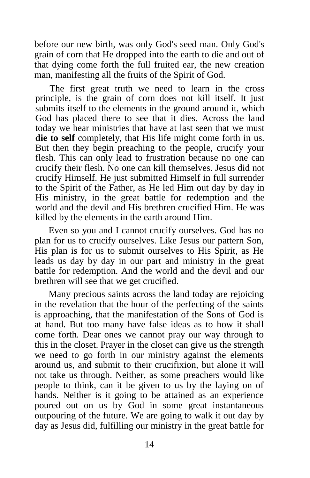before our new birth, was only God's seed man. Only God's grain of corn that He dropped into the earth to die and out of that dying come forth the full fruited ear, the new creation man, manifesting all the fruits of the Spirit of God.

The first great truth we need to learn in the cross principle, is the grain of corn does not kill itself. It just submits itself to the elements in the ground around it, which God has placed there to see that it dies. Across the land today we hear ministries that have at last seen that we must **die to self** completely, that His life might come forth in us. But then they begin preaching to the people, crucify your flesh. This can only lead to frustration because no one can crucify their flesh. No one can kill themselves. Jesus did not crucify Himself. He just submitted Himself in full surrender to the Spirit of the Father, as He led Him out day by day in His ministry, in the great battle for redemption and the world and the devil and His brethren crucified Him. He was killed by the elements in the earth around Him.

Even so you and I cannot crucify ourselves. God has no plan for us to crucify ourselves. Like Jesus our pattern Son, His plan is for us to submit ourselves to His Spirit, as He leads us day by day in our part and ministry in the great battle for redemption. And the world and the devil and our brethren will see that we get crucified.

Many precious saints across the land today are rejoicing in the revelation that the hour of the perfecting of the saints is approaching, that the manifestation of the Sons of God is at hand. But too many have false ideas as to how it shall come forth. Dear ones we cannot pray our way through to this in the closet. Prayer in the closet can give us the strength we need to go forth in our ministry against the elements around us, and submit to their crucifixion, but alone it will not take us through. Neither, as some preachers would like people to think, can it be given to us by the laying on of hands. Neither is it going to be attained as an experience poured out on us by God in some great instantaneous outpouring of the future. We are going to walk it out day by day as Jesus did, fulfilling our ministry in the great battle for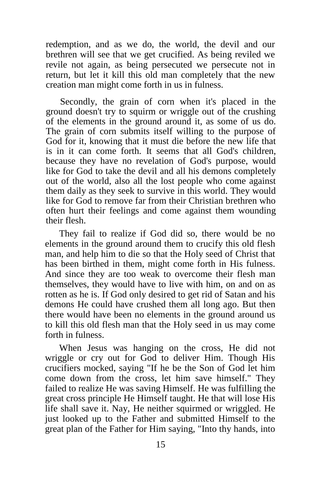redemption, and as we do, the world, the devil and our brethren will see that we get crucified. As being reviled we revile not again, as being persecuted we persecute not in return, but let it kill this old man completely that the new creation man might come forth in us in fulness.

Secondly, the grain of corn when it's placed in the ground doesn't try to squirm or wriggle out of the crushing of the elements in the ground around it, as some of us do. The grain of corn submits itself willing to the purpose of God for it, knowing that it must die before the new life that is in it can come forth. It seems that all God's children, because they have no revelation of God's purpose, would like for God to take the devil and all his demons completely out of the world, also all the lost people who come against them daily as they seek to survive in this world. They would like for God to remove far from their Christian brethren who often hurt their feelings and come against them wounding their flesh.

They fail to realize if God did so, there would be no elements in the ground around them to crucify this old flesh man, and help him to die so that the Holy seed of Christ that has been birthed in them, might come forth in His fulness. And since they are too weak to overcome their flesh man themselves, they would have to live with him, on and on as rotten as he is. If God only desired to get rid of Satan and his demons He could have crushed them all long ago. But then there would have been no elements in the ground around us to kill this old flesh man that the Holy seed in us may come forth in fulness.

When Jesus was hanging on the cross, He did not wriggle or cry out for God to deliver Him. Though His crucifiers mocked, saying "If he be the Son of God let him come down from the cross, let him save himself." They failed to realize He was saving Himself. He was fulfilling the great cross principle He Himself taught. He that will lose His life shall save it. Nay, He neither squirmed or wriggled. He just looked up to the Father and submitted Himself to the great plan of the Father for Him saying, "Into thy hands, into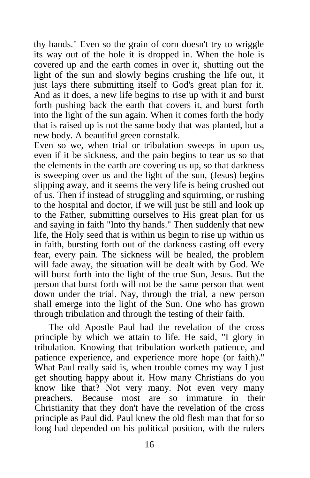thy hands." Even so the grain of corn doesn't try to wriggle its way out of the hole it is dropped in. When the hole is covered up and the earth comes in over it, shutting out the light of the sun and slowly begins crushing the life out, it just lays there submitting itself to God's great plan for it. And as it does, a new life begins to rise up with it and burst forth pushing back the earth that covers it, and burst forth into the light of the sun again. When it comes forth the body that is raised up is not the same body that was planted, but a new body. A beautiful green cornstalk.

Even so we, when trial or tribulation sweeps in upon us, even if it be sickness, and the pain begins to tear us so that the elements in the earth are covering us up, so that darkness is sweeping over us and the light of the sun, (Jesus) begins slipping away, and it seems the very life is being crushed out of us. Then if instead of struggling and squirming, or rushing to the hospital and doctor, if we will just be still and look up to the Father, submitting ourselves to His great plan for us and saying in faith "Into thy hands." Then suddenly that new life, the Holy seed that is within us begin to rise up within us in faith, bursting forth out of the darkness casting off every fear, every pain. The sickness will be healed, the problem will fade away, the situation will be dealt with by God. We will burst forth into the light of the true Sun, Jesus. But the person that burst forth will not be the same person that went down under the trial. Nay, through the trial, a new person shall emerge into the light of the Sun. One who has grown through tribulation and through the testing of their faith.

The old Apostle Paul had the revelation of the cross principle by which we attain to life. He said, "I glory in tribulation. Knowing that tribulation worketh patience, and patience experience, and experience more hope (or faith)." What Paul really said is, when trouble comes my way I just get shouting happy about it. How many Christians do you know like that? Not very many. Not even very many preachers. Because most are so immature in their Christianity that they don't have the revelation of the cross principle as Paul did. Paul knew the old flesh man that for so long had depended on his political position, with the rulers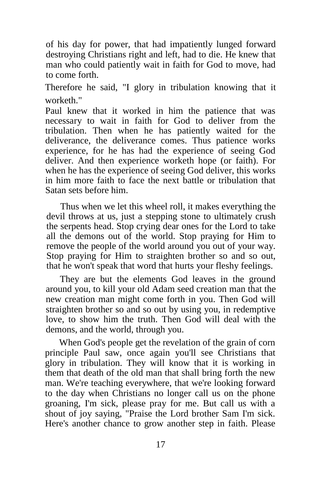of his day for power, that had impatiently lunged forward destroying Christians right and left, had to die. He knew that man who could patiently wait in faith for God to move, had to come forth.

Therefore he said, "I glory in tribulation knowing that it worketh."

Paul knew that it worked in him the patience that was necessary to wait in faith for God to deliver from the tribulation. Then when he has patiently waited for the deliverance, the deliverance comes. Thus patience works experience, for he has had the experience of seeing God deliver. And then experience worketh hope (or faith). For when he has the experience of seeing God deliver, this works in him more faith to face the next battle or tribulation that Satan sets before him.

Thus when we let this wheel roll, it makes everything the devil throws at us, just a stepping stone to ultimately crush the serpents head. Stop crying dear ones for the Lord to take all the demons out of the world. Stop praying for Him to remove the people of the world around you out of your way. Stop praying for Him to straighten brother so and so out, that he won't speak that word that hurts your fleshy feelings.

They are but the elements God leaves in the ground around you, to kill your old Adam seed creation man that the new creation man might come forth in you. Then God will straighten brother so and so out by using you, in redemptive love, to show him the truth. Then God will deal with the demons, and the world, through you.

When God's people get the revelation of the grain of corn principle Paul saw, once again you'll see Christians that glory in tribulation. They will know that it is working in them that death of the old man that shall bring forth the new man. We're teaching everywhere, that we're looking forward to the day when Christians no longer call us on the phone groaning, I'm sick, please pray for me. But call us with a shout of joy saying, "Praise the Lord brother Sam I'm sick. Here's another chance to grow another step in faith. Please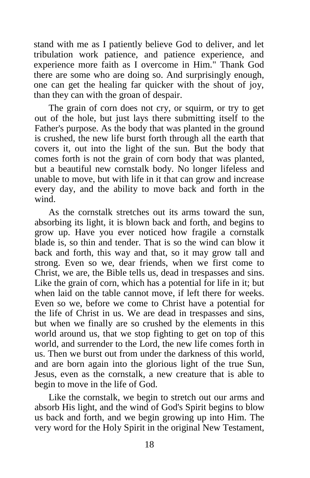stand with me as I patiently believe God to deliver, and let tribulation work patience, and patience experience, and experience more faith as I overcome in Him." Thank God there are some who are doing so. And surprisingly enough, one can get the healing far quicker with the shout of joy, than they can with the groan of despair.

The grain of corn does not cry, or squirm, or try to get out of the hole, but just lays there submitting itself to the Father's purpose. As the body that was planted in the ground is crushed, the new life burst forth through all the earth that covers it, out into the light of the sun. But the body that comes forth is not the grain of corn body that was planted, but a beautiful new cornstalk body. No longer lifeless and unable to move, but with life in it that can grow and increase every day, and the ability to move back and forth in the wind.

As the cornstalk stretches out its arms toward the sun, absorbing its light, it is blown back and forth, and begins to grow up. Have you ever noticed how fragile a cornstalk blade is, so thin and tender. That is so the wind can blow it back and forth, this way and that, so it may grow tall and strong. Even so we, dear friends, when we first come to Christ, we are, the Bible tells us, dead in trespasses and sins. Like the grain of corn, which has a potential for life in it; but when laid on the table cannot move, if left there for weeks. Even so we, before we come to Christ have a potential for the life of Christ in us. We are dead in trespasses and sins, but when we finally are so crushed by the elements in this world around us, that we stop fighting to get on top of this world, and surrender to the Lord, the new life comes forth in us. Then we burst out from under the darkness of this world, and are born again into the glorious light of the true Sun, Jesus, even as the cornstalk, a new creature that is able to begin to move in the life of God.

Like the cornstalk, we begin to stretch out our arms and absorb His light, and the wind of God's Spirit begins to blow us back and forth, and we begin growing up into Him. The very word for the Holy Spirit in the original New Testament,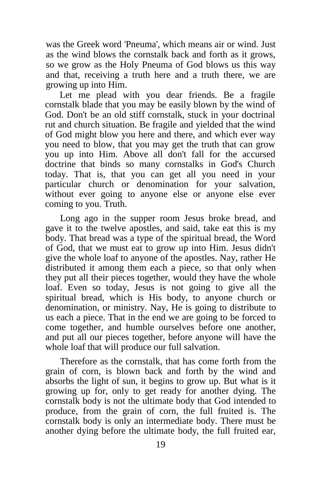was the Greek word 'Pneuma', which means air or wind. Just as the wind blows the cornstalk back and forth as it grows, so we grow as the Holy Pneuma of God blows us this way and that, receiving a truth here and a truth there, we are growing up into Him.

Let me plead with you dear friends. Be a fragile cornstalk blade that you may be easily blown by the wind of God. Don't be an old stiff cornstalk, stuck in your doctrinal rut and church situation. Be fragile and yielded that the wind of God might blow you here and there, and which ever way you need to blow, that you may get the truth that can grow you up into Him. Above all don't fall for the accursed doctrine that binds so many cornstalks in God's Church today. That is, that you can get all you need in your particular church or denomination for your salvation, without ever going to anyone else or anyone else ever coming to you. Truth.

Long ago in the supper room Jesus broke bread, and gave it to the twelve apostles, and said, take eat this is my body. That bread was a type of the spiritual bread, the Word of God, that we must eat to grow up into Him. Jesus didn't give the whole loaf to anyone of the apostles. Nay, rather He distributed it among them each a piece, so that only when they put all their pieces together, would they have the whole loaf. Even so today, Jesus is not going to give all the spiritual bread, which is His body, to anyone church or denomination, or ministry. Nay, He is going to distribute to us each a piece. That in the end we are going to be forced to come together, and humble ourselves before one another, and put all our pieces together, before anyone will have the whole loaf that will produce our full salvation.

Therefore as the cornstalk, that has come forth from the grain of corn, is blown back and forth by the wind and absorbs the light of sun, it begins to grow up. But what is it growing up for, only to get ready for another dying. The cornstalk body is not the ultimate body that God intended to produce, from the grain of corn, the full fruited is. The cornstalk body is only an intermediate body. There must be another dying before the ultimate body, the full fruited ear,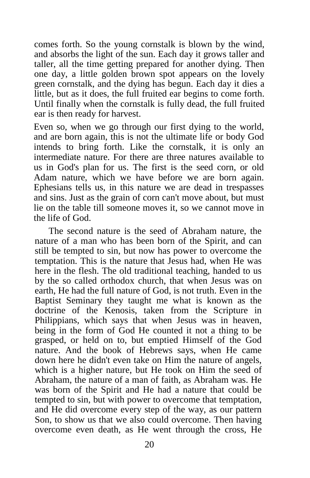comes forth. So the young cornstalk is blown by the wind, and absorbs the light of the sun. Each day it grows taller and taller, all the time getting prepared for another dying. Then one day, a little golden brown spot appears on the lovely green cornstalk, and the dying has begun. Each day it dies a little, but as it does, the full fruited ear begins to come forth. Until finally when the cornstalk is fully dead, the full fruited ear is then ready for harvest.

Even so, when we go through our first dying to the world, and are born again, this is not the ultimate life or body God intends to bring forth. Like the cornstalk, it is only an intermediate nature. For there are three natures available to us in God's plan for us. The first is the seed corn, or old Adam nature, which we have before we are born again. Ephesians tells us, in this nature we are dead in trespasses and sins. Just as the grain of corn can't move about, but must lie on the table till someone moves it, so we cannot move in the life of God.

The second nature is the seed of Abraham nature, the nature of a man who has been born of the Spirit, and can still be tempted to sin, but now has power to overcome the temptation. This is the nature that Jesus had, when He was here in the flesh. The old traditional teaching, handed to us by the so called orthodox church, that when Jesus was on earth, He had the full nature of God, is not truth. Even in the Baptist Seminary they taught me what is known as the doctrine of the Kenosis, taken from the Scripture in Philippians, which says that when Jesus was in heaven, being in the form of God He counted it not a thing to be grasped, or held on to, but emptied Himself of the God nature. And the book of Hebrews says, when He came down here he didn't even take on Him the nature of angels, which is a higher nature, but He took on Him the seed of Abraham, the nature of a man of faith, as Abraham was. He was born of the Spirit and He had a nature that could be tempted to sin, but with power to overcome that temptation, and He did overcome every step of the way, as our pattern Son, to show us that we also could overcome. Then having overcome even death, as He went through the cross, He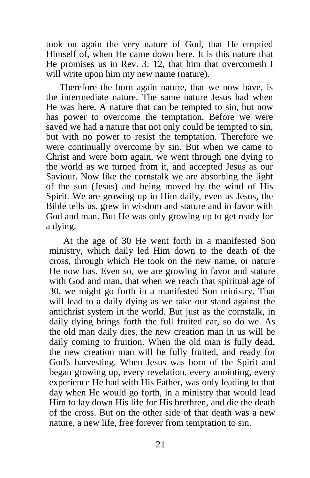took on again the very nature of God, that He emptied Himself of, when He came down here. It is this nature that He promises us in Rev. 3: 12, that him that overcometh I will write upon him my new name (nature).

Therefore the born again nature, that we now have, is the intermediate nature. The same nature Jesus had when He was here. A nature that can be tempted to sin, but now has power to overcome the temptation. Before we were saved we had a nature that not only could be tempted to sin, but with no power to resist the temptation. Therefore we were continually overcome by sin. But when we came to Christ and were born again, we went through one dying to the world as we turned from it, and accepted Jesus as our Saviour. Now like the cornstalk we are absorbing the light of the sun (Jesus) and being moved by the wind of His Spirit. We are growing up in Him daily, even as Jesus, the Bible tells us, grew in wisdom and stature and in favor with God and man. But He was only growing up to get ready for a dying.

At the age of 30 He went forth in a manifested Son ministry, which daily led Him down to the death of the cross, through which He took on the new name, or nature He now has. Even so, we are growing in favor and stature with God and man, that when we reach that spiritual age of 30, we might go forth in a manifested Son ministry. That will lead to a daily dying as we take our stand against the antichrist system in the world. But just as the cornstalk, in daily dying brings forth the full fruited ear, so do we. As the old man daily dies, the new creation man in us will be daily coming to fruition. When the old man is fully dead, the new creation man will be fully fruited, and ready for God's harvesting. When Jesus was born of the Spirit and began growing up, every revelation, every anointing, every experience He had with His Father, was only leading to that day when He would go forth, in a ministry that would lead Him to lay down His life for His brethren, and die the death of the cross. But on the other side of that death was a new nature, a new life, free forever from temptation to sin.